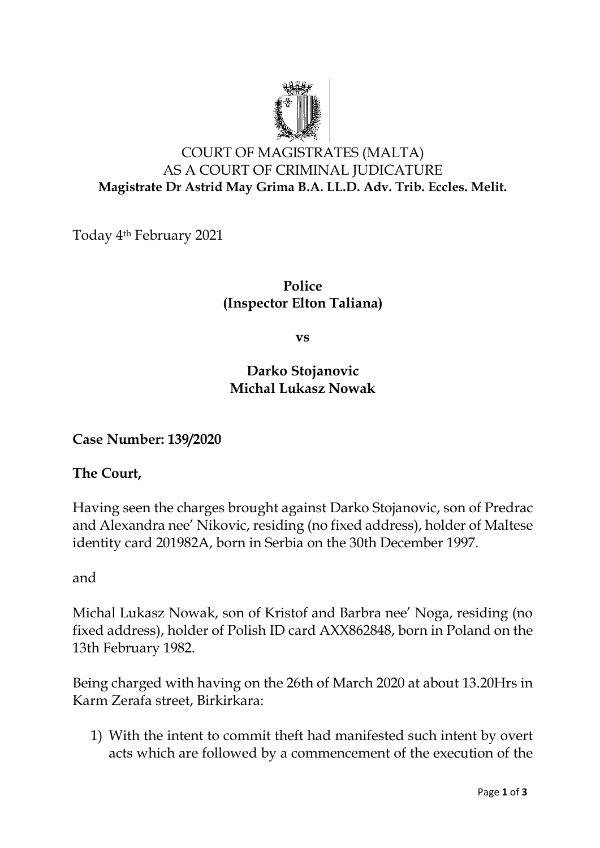

# COURT OF MAGISTRATES (MALTA) AS A COURT OF CRIMINAL JUDICATURE **Magistrate Dr Astrid May Grima B.A. LL.D. Adv. Trib. Eccles. Melit.**

Today 4th February 2021

**Police (Inspector Elton Taliana)**

**vs**

## **Darko Stojanovic Michal Lukasz Nowak**

**Case Number: 139/2020**

#### **The Court,**

Having seen the charges brought against Darko Stojanovic, son of Predrac and Alexandra nee' Nikovic, residing (no fixed address), holder of Maltese identity card 201982A, born in Serbia on the 30th December 1997.

and

Michal Lukasz Nowak, son of Kristof and Barbra nee' Noga, residing (no fixed address), holder of Polish ID card AXX862848, born in Poland on the 13th February 1982.

Being charged with having on the 26th of March 2020 at about 13.20Hrs in Karm Zerafa street, Birkirkara:

1) With the intent to commit theft had manifested such intent by overt acts which are followed by a commencement of the execution of the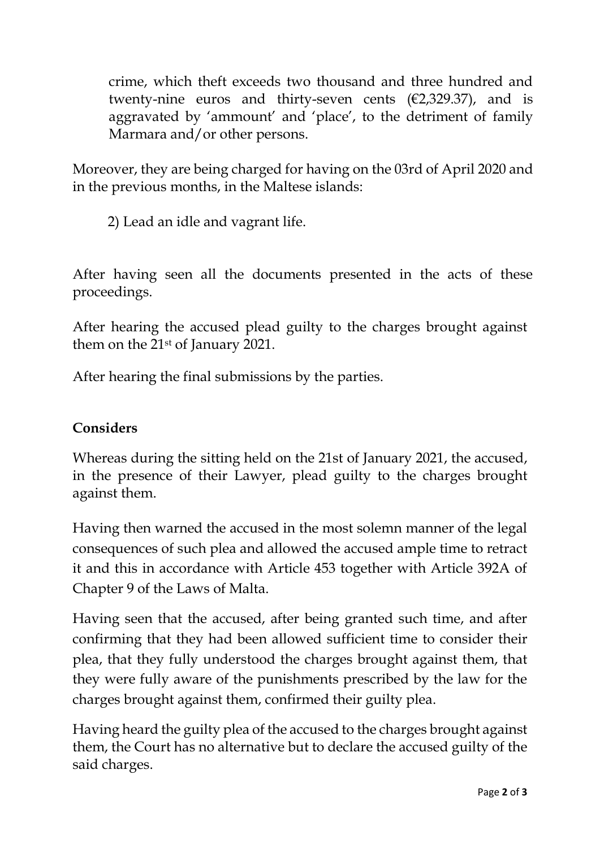crime, which theft exceeds two thousand and three hundred and twenty-nine euros and thirty-seven cents  $(E2, 329.37)$ , and is aggravated by 'ammount' and 'place', to the detriment of family Marmara and/or other persons.

Moreover, they are being charged for having on the 03rd of April 2020 and in the previous months, in the Maltese islands:

2) Lead an idle and vagrant life.

After having seen all the documents presented in the acts of these proceedings.

After hearing the accused plead guilty to the charges brought against them on the 21st of January 2021.

After hearing the final submissions by the parties.

## **Considers**

Whereas during the sitting held on the 21st of January 2021, the accused, in the presence of their Lawyer, plead guilty to the charges brought against them.

Having then warned the accused in the most solemn manner of the legal consequences of such plea and allowed the accused ample time to retract it and this in accordance with Article 453 together with Article 392A of Chapter 9 of the Laws of Malta.

Having seen that the accused, after being granted such time, and after confirming that they had been allowed sufficient time to consider their plea, that they fully understood the charges brought against them, that they were fully aware of the punishments prescribed by the law for the charges brought against them, confirmed their guilty plea.

Having heard the guilty plea of the accused to the charges brought against them, the Court has no alternative but to declare the accused guilty of the said charges.